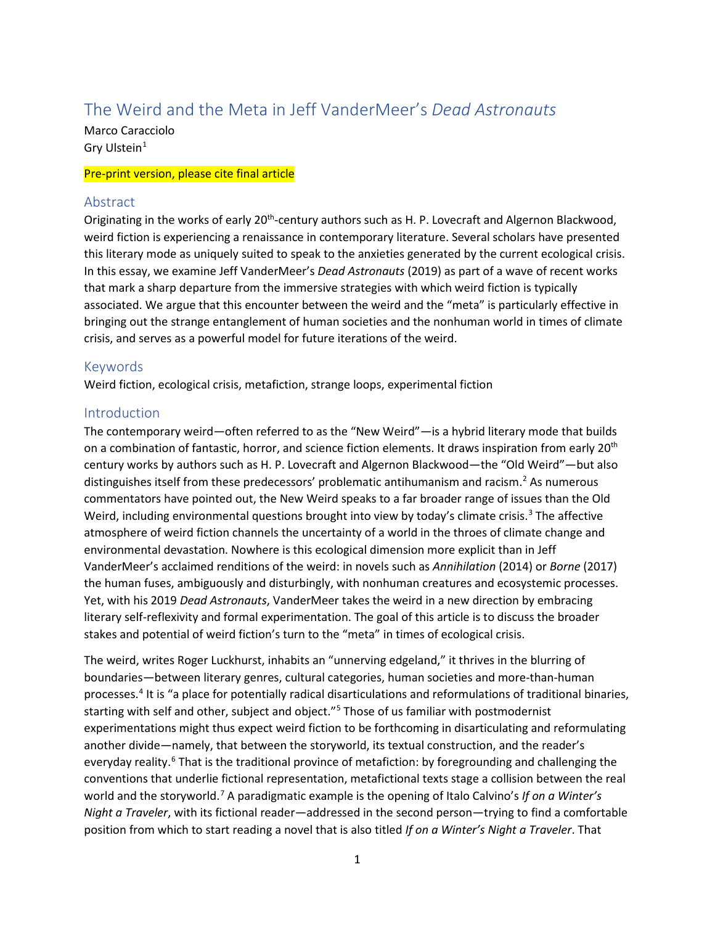# The Weird and the Meta in Jeff VanderMeer's *Dead Astronauts*

Marco Caracciolo Gry Ulstein $1$ 

#### Pre-print version, please cite final article

#### Abstract

Originating in the works of early 20<sup>th</sup>-century authors such as H. P. Lovecraft and Algernon Blackwood, weird fiction is experiencing a renaissance in contemporary literature. Several scholars have presented this literary mode as uniquely suited to speak to the anxieties generated by the current ecological crisis. In this essay, we examine Jeff VanderMeer's *Dead Astronauts* (2019) as part of a wave of recent works that mark a sharp departure from the immersive strategies with which weird fiction is typically associated. We argue that this encounter between the weird and the "meta" is particularly effective in bringing out the strange entanglement of human societies and the nonhuman world in times of climate crisis, and serves as a powerful model for future iterations of the weird.

## Keywords

Weird fiction, ecological crisis, metafiction, strange loops, experimental fiction

#### **Introduction**

The contemporary weird—often referred to as the "New Weird"—is a hybrid literary mode that builds on a combination of fantastic, horror, and science fiction elements. It draws inspiration from early 20<sup>th</sup> century works by authors such as H. P. Lovecraft and Algernon Blackwood—the "Old Weird"—but also distinguishes itself from these predecessors' problematic antihumanism and racism.<sup>[2](#page-13-1)</sup> As numerous commentators have pointed out, the New Weird speaks to a far broader range of issues than the Old Weird, including environmental questions brought into view by today's climate crisis.<sup>[3](#page-13-2)</sup> The affective atmosphere of weird fiction channels the uncertainty of a world in the throes of climate change and environmental devastation. Nowhere is this ecological dimension more explicit than in Jeff VanderMeer's acclaimed renditions of the weird: in novels such as *Annihilation* (2014) or *Borne* (2017) the human fuses, ambiguously and disturbingly, with nonhuman creatures and ecosystemic processes. Yet, with his 2019 *Dead Astronauts*, VanderMeer takes the weird in a new direction by embracing literary self-reflexivity and formal experimentation. The goal of this article is to discuss the broader stakes and potential of weird fiction's turn to the "meta" in times of ecological crisis.

The weird, writes Roger Luckhurst, inhabits an "unnerving edgeland," it thrives in the blurring of boundaries—between literary genres, cultural categories, human societies and more-than-human processes.[4](#page-13-3) It is "a place for potentially radical disarticulations and reformulations of traditional binaries, starting with self and other, subject and object."<sup>[5](#page-13-4)</sup> Those of us familiar with postmodernist experimentations might thus expect weird fiction to be forthcoming in disarticulating and reformulating another divide—namely, that between the storyworld, its textual construction, and the reader's everyday reality.<sup>[6](#page-13-5)</sup> That is the traditional province of metafiction: by foregrounding and challenging the conventions that underlie fictional representation, metafictional texts stage a collision between the real world and the storyworld.[7](#page-13-6) A paradigmatic example is the opening of Italo Calvino's *If on a Winter's Night a Traveler*, with its fictional reader—addressed in the second person—trying to find a comfortable position from which to start reading a novel that is also titled *If on a Winter's Night a Traveler*. That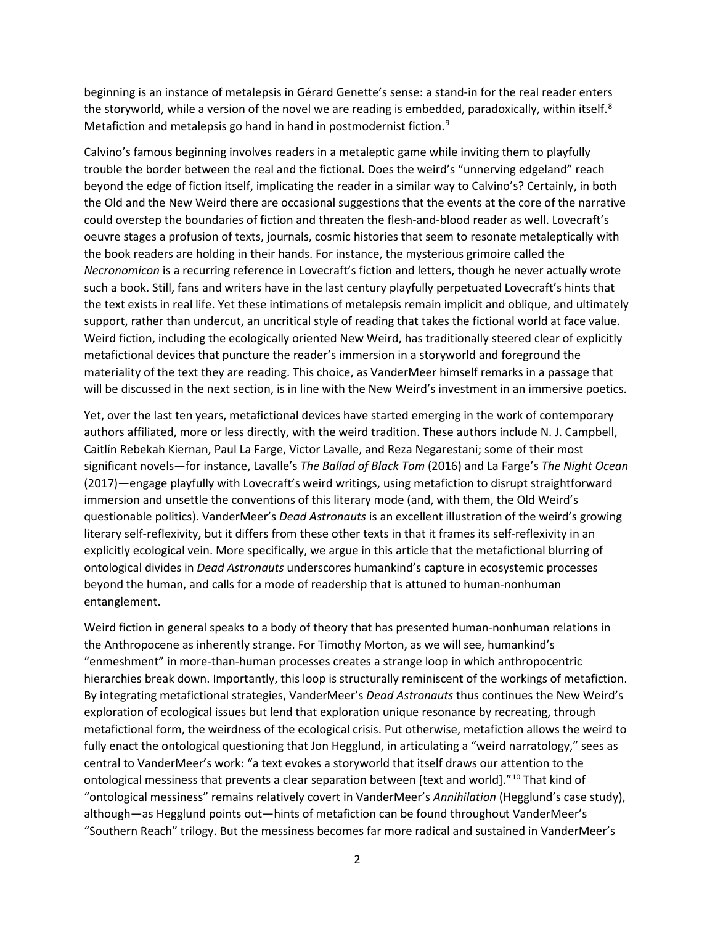beginning is an instance of metalepsis in Gérard Genette's sense: a stand-in for the real reader enters the storyworld, while a version of the novel we are reading is embedded, paradoxically, within itself. $8$ Metafiction and metalepsis go hand in hand in postmodernist fiction.<sup>[9](#page-13-8)</sup>

Calvino's famous beginning involves readers in a metaleptic game while inviting them to playfully trouble the border between the real and the fictional. Does the weird's "unnerving edgeland" reach beyond the edge of fiction itself, implicating the reader in a similar way to Calvino's? Certainly, in both the Old and the New Weird there are occasional suggestions that the events at the core of the narrative could overstep the boundaries of fiction and threaten the flesh-and-blood reader as well. Lovecraft's oeuvre stages a profusion of texts, journals, cosmic histories that seem to resonate metaleptically with the book readers are holding in their hands. For instance, the mysterious grimoire called the *Necronomicon* is a recurring reference in Lovecraft's fiction and letters, though he never actually wrote such a book. Still, fans and writers have in the last century playfully perpetuated Lovecraft's hints that the text exists in real life. Yet these intimations of metalepsis remain implicit and oblique, and ultimately support, rather than undercut, an uncritical style of reading that takes the fictional world at face value. Weird fiction, including the ecologically oriented New Weird, has traditionally steered clear of explicitly metafictional devices that puncture the reader's immersion in a storyworld and foreground the materiality of the text they are reading. This choice, as VanderMeer himself remarks in a passage that will be discussed in the next section, is in line with the New Weird's investment in an immersive poetics.

Yet, over the last ten years, metafictional devices have started emerging in the work of contemporary authors affiliated, more or less directly, with the weird tradition. These authors include N. J. Campbell, Caitlín Rebekah Kiernan, Paul La Farge, Victor Lavalle, and Reza Negarestani; some of their most significant novels—for instance, Lavalle's *The Ballad of Black Tom* (2016) and La Farge's *The Night Ocean*  (2017)—engage playfully with Lovecraft's weird writings, using metafiction to disrupt straightforward immersion and unsettle the conventions of this literary mode (and, with them, the Old Weird's questionable politics). VanderMeer's *Dead Astronauts* is an excellent illustration of the weird's growing literary self-reflexivity, but it differs from these other texts in that it frames its self-reflexivity in an explicitly ecological vein. More specifically, we argue in this article that the metafictional blurring of ontological divides in *Dead Astronauts* underscores humankind's capture in ecosystemic processes beyond the human, and calls for a mode of readership that is attuned to human-nonhuman entanglement.

Weird fiction in general speaks to a body of theory that has presented human-nonhuman relations in the Anthropocene as inherently strange. For Timothy Morton, as we will see, humankind's "enmeshment" in more-than-human processes creates a strange loop in which anthropocentric hierarchies break down. Importantly, this loop is structurally reminiscent of the workings of metafiction. By integrating metafictional strategies, VanderMeer's *Dead Astronauts* thus continues the New Weird's exploration of ecological issues but lend that exploration unique resonance by recreating, through metafictional form, the weirdness of the ecological crisis. Put otherwise, metafiction allows the weird to fully enact the ontological questioning that Jon Hegglund, in articulating a "weird narratology," sees as central to VanderMeer's work: "a text evokes a storyworld that itself draws our attention to the ontological messiness that prevents a clear separation between [text and world]."<sup>[10](#page-13-9)</sup> That kind of "ontological messiness" remains relatively covert in VanderMeer's *Annihilation* (Hegglund's case study), although—as Hegglund points out—hints of metafiction can be found throughout VanderMeer's "Southern Reach" trilogy. But the messiness becomes far more radical and sustained in VanderMeer's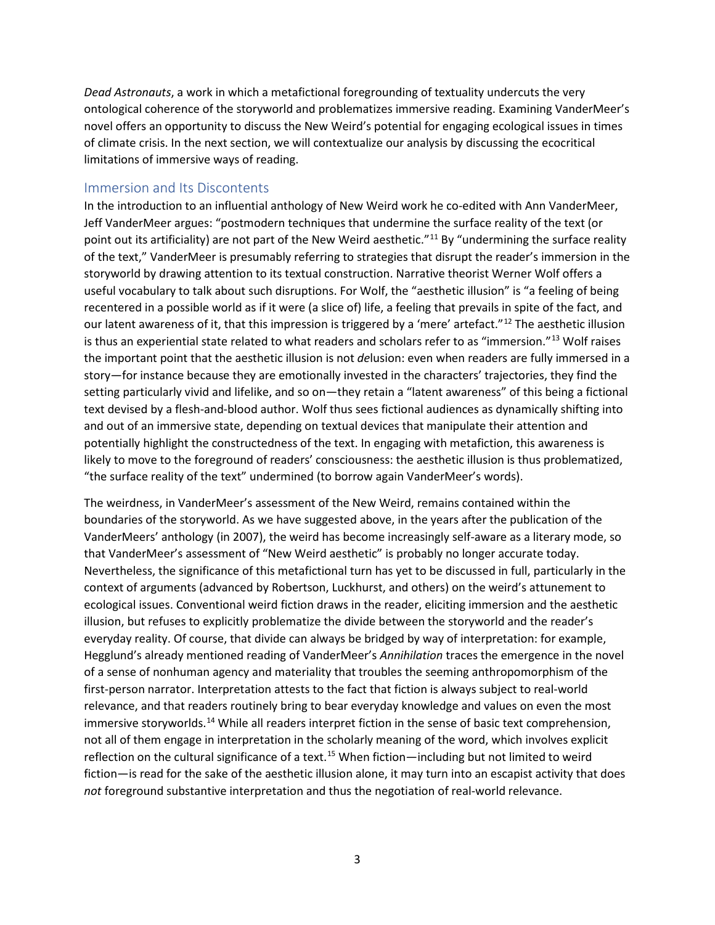*Dead Astronauts*, a work in which a metafictional foregrounding of textuality undercuts the very ontological coherence of the storyworld and problematizes immersive reading. Examining VanderMeer's novel offers an opportunity to discuss the New Weird's potential for engaging ecological issues in times of climate crisis. In the next section, we will contextualize our analysis by discussing the ecocritical limitations of immersive ways of reading.

#### Immersion and Its Discontents

In the introduction to an influential anthology of New Weird work he co-edited with Ann VanderMeer, Jeff VanderMeer argues: "postmodern techniques that undermine the surface reality of the text (or point out its artificiality) are not part of the New Weird aesthetic."<sup>[11](#page-13-10)</sup> By "undermining the surface reality of the text," VanderMeer is presumably referring to strategies that disrupt the reader's immersion in the storyworld by drawing attention to its textual construction. Narrative theorist Werner Wolf offers a useful vocabulary to talk about such disruptions. For Wolf, the "aesthetic illusion" is "a feeling of being recentered in a possible world as if it were (a slice of) life, a feeling that prevails in spite of the fact, and our latent awareness of it, that this impression is triggered by a 'mere' artefact."[12](#page-13-11) The aesthetic illusion is thus an experiential state related to what readers and scholars refer to as "immersion."<sup>[13](#page-14-0)</sup> Wolf raises the important point that the aesthetic illusion is not *de*lusion: even when readers are fully immersed in a story—for instance because they are emotionally invested in the characters' trajectories, they find the setting particularly vivid and lifelike, and so on—they retain a "latent awareness" of this being a fictional text devised by a flesh-and-blood author. Wolf thus sees fictional audiences as dynamically shifting into and out of an immersive state, depending on textual devices that manipulate their attention and potentially highlight the constructedness of the text. In engaging with metafiction, this awareness is likely to move to the foreground of readers' consciousness: the aesthetic illusion is thus problematized, "the surface reality of the text" undermined (to borrow again VanderMeer's words).

The weirdness, in VanderMeer's assessment of the New Weird, remains contained within the boundaries of the storyworld. As we have suggested above, in the years after the publication of the VanderMeers' anthology (in 2007), the weird has become increasingly self-aware as a literary mode, so that VanderMeer's assessment of "New Weird aesthetic" is probably no longer accurate today. Nevertheless, the significance of this metafictional turn has yet to be discussed in full, particularly in the context of arguments (advanced by Robertson, Luckhurst, and others) on the weird's attunement to ecological issues. Conventional weird fiction draws in the reader, eliciting immersion and the aesthetic illusion, but refuses to explicitly problematize the divide between the storyworld and the reader's everyday reality. Of course, that divide can always be bridged by way of interpretation: for example, Hegglund's already mentioned reading of VanderMeer's *Annihilation* traces the emergence in the novel of a sense of nonhuman agency and materiality that troubles the seeming anthropomorphism of the first-person narrator. Interpretation attests to the fact that fiction is always subject to real-world relevance, and that readers routinely bring to bear everyday knowledge and values on even the most immersive storyworlds.<sup>[14](#page-14-1)</sup> While all readers interpret fiction in the sense of basic text comprehension, not all of them engage in interpretation in the scholarly meaning of the word, which involves explicit reflection on the cultural significance of a text.<sup>15</sup> When fiction—including but not limited to weird fiction—is read for the sake of the aesthetic illusion alone, it may turn into an escapist activity that does *not* foreground substantive interpretation and thus the negotiation of real-world relevance.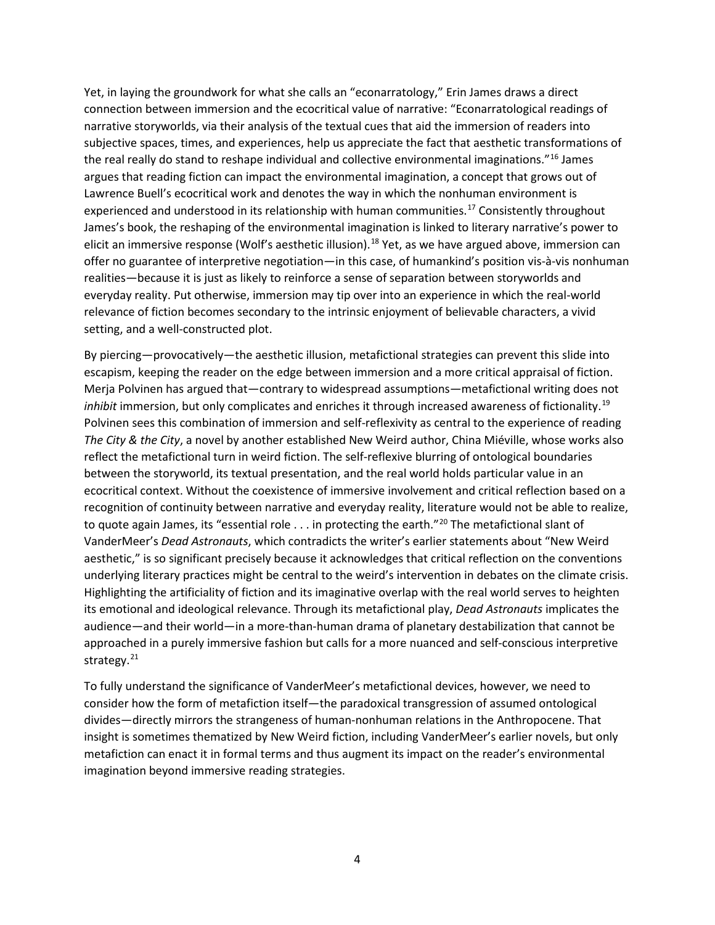Yet, in laying the groundwork for what she calls an "econarratology," Erin James draws a direct connection between immersion and the ecocritical value of narrative: "Econarratological readings of narrative storyworlds, via their analysis of the textual cues that aid the immersion of readers into subjective spaces, times, and experiences, help us appreciate the fact that aesthetic transformations of the real really do stand to reshape individual and collective environmental imaginations."<sup>16</sup> James argues that reading fiction can impact the environmental imagination, a concept that grows out of Lawrence Buell's ecocritical work and denotes the way in which the nonhuman environment is experienced and understood in its relationship with human communities.<sup>[17](#page-14-4)</sup> Consistently throughout James's book, the reshaping of the environmental imagination is linked to literary narrative's power to elicit an immersive response (Wolf's aesthetic illusion).<sup>[18](#page-14-5)</sup> Yet, as we have argued above, immersion can offer no guarantee of interpretive negotiation—in this case, of humankind's position vis-à-vis nonhuman realities—because it is just as likely to reinforce a sense of separation between storyworlds and everyday reality. Put otherwise, immersion may tip over into an experience in which the real-world relevance of fiction becomes secondary to the intrinsic enjoyment of believable characters, a vivid setting, and a well-constructed plot.

By piercing—provocatively—the aesthetic illusion, metafictional strategies can prevent this slide into escapism, keeping the reader on the edge between immersion and a more critical appraisal of fiction. Merja Polvinen has argued that—contrary to widespread assumptions—metafictional writing does not *inhibit* immersion, but only complicates and enriches it through increased awareness of fictionality.[19](#page-14-6) Polvinen sees this combination of immersion and self-reflexivity as central to the experience of reading *The City & the City*, a novel by another established New Weird author, China Miéville, whose works also reflect the metafictional turn in weird fiction. The self-reflexive blurring of ontological boundaries between the storyworld, its textual presentation, and the real world holds particular value in an ecocritical context. Without the coexistence of immersive involvement and critical reflection based on a recognition of continuity between narrative and everyday reality, literature would not be able to realize, to quote again James, its "essential role . . . in protecting the earth."<sup>[20](#page-14-7)</sup> The metafictional slant of VanderMeer's *Dead Astronauts*, which contradicts the writer's earlier statements about "New Weird aesthetic," is so significant precisely because it acknowledges that critical reflection on the conventions underlying literary practices might be central to the weird's intervention in debates on the climate crisis. Highlighting the artificiality of fiction and its imaginative overlap with the real world serves to heighten its emotional and ideological relevance. Through its metafictional play, *Dead Astronauts* implicates the audience—and their world—in a more-than-human drama of planetary destabilization that cannot be approached in a purely immersive fashion but calls for a more nuanced and self-conscious interpretive strategy.<sup>[21](#page-14-8)</sup>

To fully understand the significance of VanderMeer's metafictional devices, however, we need to consider how the form of metafiction itself—the paradoxical transgression of assumed ontological divides—directly mirrors the strangeness of human-nonhuman relations in the Anthropocene. That insight is sometimes thematized by New Weird fiction, including VanderMeer's earlier novels, but only metafiction can enact it in formal terms and thus augment its impact on the reader's environmental imagination beyond immersive reading strategies.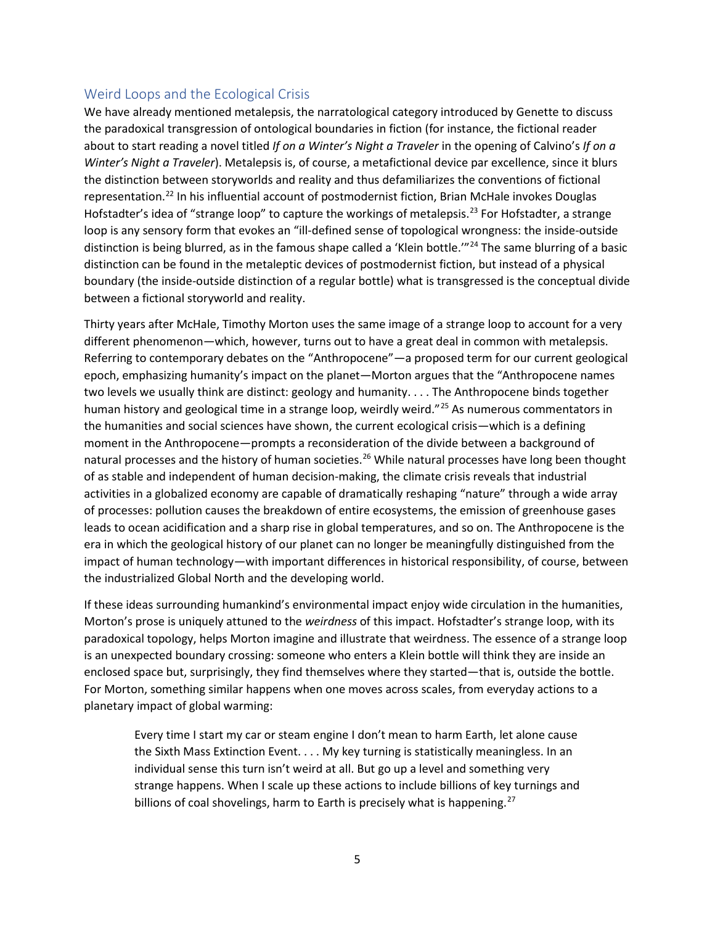# Weird Loops and the Ecological Crisis

We have already mentioned metalepsis, the narratological category introduced by Genette to discuss the paradoxical transgression of ontological boundaries in fiction (for instance, the fictional reader about to start reading a novel titled *If on a Winter's Night a Traveler* in the opening of Calvino's *If on a Winter's Night a Traveler*). Metalepsis is, of course, a metafictional device par excellence, since it blurs the distinction between storyworlds and reality and thus defamiliarizes the conventions of fictional representation.[22](#page-14-9) In his influential account of postmodernist fiction, Brian McHale invokes Douglas Hofstadter's idea of "strange loop" to capture the workings of metalepsis.<sup>23</sup> For Hofstadter, a strange loop is any sensory form that evokes an "ill-defined sense of topological wrongness: the inside-outside distinction is being blurred, as in the famous shape called a 'Klein bottle."<sup>[24](#page-14-11)</sup> The same blurring of a basic distinction can be found in the metaleptic devices of postmodernist fiction, but instead of a physical boundary (the inside-outside distinction of a regular bottle) what is transgressed is the conceptual divide between a fictional storyworld and reality.

Thirty years after McHale, Timothy Morton uses the same image of a strange loop to account for a very different phenomenon—which, however, turns out to have a great deal in common with metalepsis. Referring to contemporary debates on the "Anthropocene"—a proposed term for our current geological epoch, emphasizing humanity's impact on the planet—Morton argues that the "Anthropocene names two levels we usually think are distinct: geology and humanity. . . . The Anthropocene binds together human history and geological time in a strange loop, weirdly weird."<sup>[25](#page-14-12)</sup> As numerous commentators in the humanities and social sciences have shown, the current ecological crisis—which is a defining moment in the Anthropocene—prompts a reconsideration of the divide between a background of natural processes and the history of human societies.<sup>[26](#page-14-13)</sup> While natural processes have long been thought of as stable and independent of human decision-making, the climate crisis reveals that industrial activities in a globalized economy are capable of dramatically reshaping "nature" through a wide array of processes: pollution causes the breakdown of entire ecosystems, the emission of greenhouse gases leads to ocean acidification and a sharp rise in global temperatures, and so on. The Anthropocene is the era in which the geological history of our planet can no longer be meaningfully distinguished from the impact of human technology—with important differences in historical responsibility, of course, between the industrialized Global North and the developing world.

If these ideas surrounding humankind's environmental impact enjoy wide circulation in the humanities, Morton's prose is uniquely attuned to the *weirdness* of this impact. Hofstadter's strange loop, with its paradoxical topology, helps Morton imagine and illustrate that weirdness. The essence of a strange loop is an unexpected boundary crossing: someone who enters a Klein bottle will think they are inside an enclosed space but, surprisingly, they find themselves where they started—that is, outside the bottle. For Morton, something similar happens when one moves across scales, from everyday actions to a planetary impact of global warming:

Every time I start my car or steam engine I don't mean to harm Earth, let alone cause the Sixth Mass Extinction Event. . . . My key turning is statistically meaningless. In an individual sense this turn isn't weird at all. But go up a level and something very strange happens. When I scale up these actions to include billions of key turnings and billions of coal shovelings, harm to Earth is precisely what is happening.<sup>[27](#page-14-14)</sup>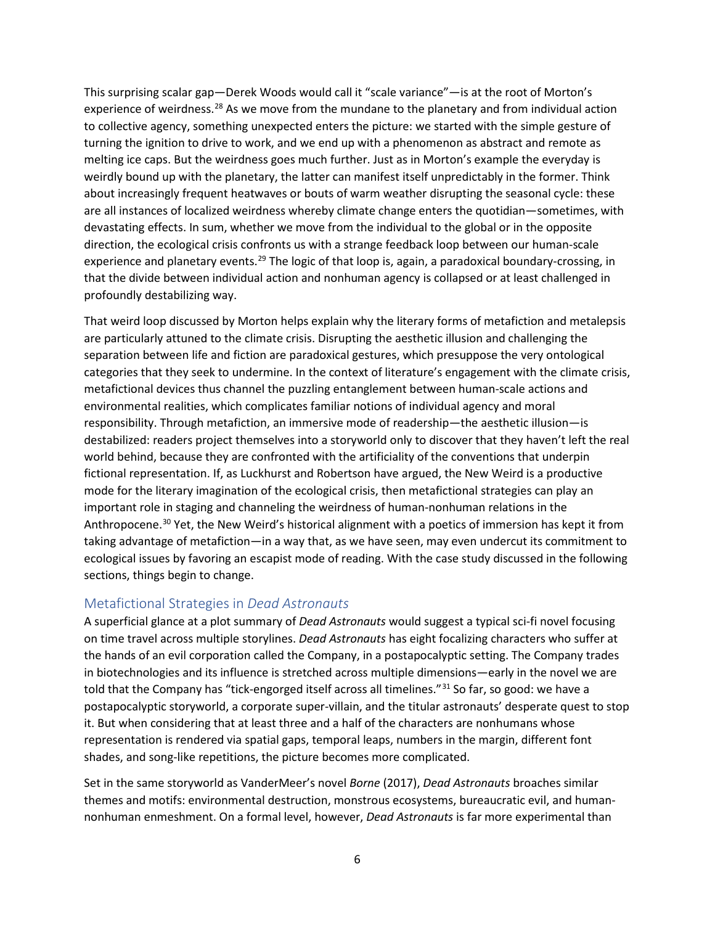This surprising scalar gap—Derek Woods would call it "scale variance"—is at the root of Morton's experience of weirdness.<sup>[28](#page-14-15)</sup> As we move from the mundane to the planetary and from individual action to collective agency, something unexpected enters the picture: we started with the simple gesture of turning the ignition to drive to work, and we end up with a phenomenon as abstract and remote as melting ice caps. But the weirdness goes much further. Just as in Morton's example the everyday is weirdly bound up with the planetary, the latter can manifest itself unpredictably in the former. Think about increasingly frequent heatwaves or bouts of warm weather disrupting the seasonal cycle: these are all instances of localized weirdness whereby climate change enters the quotidian—sometimes, with devastating effects. In sum, whether we move from the individual to the global or in the opposite direction, the ecological crisis confronts us with a strange feedback loop between our human-scale experience and planetary events.<sup>[29](#page-14-16)</sup> The logic of that loop is, again, a paradoxical boundary-crossing, in that the divide between individual action and nonhuman agency is collapsed or at least challenged in profoundly destabilizing way.

That weird loop discussed by Morton helps explain why the literary forms of metafiction and metalepsis are particularly attuned to the climate crisis. Disrupting the aesthetic illusion and challenging the separation between life and fiction are paradoxical gestures, which presuppose the very ontological categories that they seek to undermine. In the context of literature's engagement with the climate crisis, metafictional devices thus channel the puzzling entanglement between human-scale actions and environmental realities, which complicates familiar notions of individual agency and moral responsibility. Through metafiction, an immersive mode of readership—the aesthetic illusion—is destabilized: readers project themselves into a storyworld only to discover that they haven't left the real world behind, because they are confronted with the artificiality of the conventions that underpin fictional representation. If, as Luckhurst and Robertson have argued, the New Weird is a productive mode for the literary imagination of the ecological crisis, then metafictional strategies can play an important role in staging and channeling the weirdness of human-nonhuman relations in the Anthropocene.<sup>30</sup> Yet, the New Weird's historical alignment with a poetics of immersion has kept it from taking advantage of metafiction—in a way that, as we have seen, may even undercut its commitment to ecological issues by favoring an escapist mode of reading. With the case study discussed in the following sections, things begin to change.

## Metafictional Strategies in *Dead Astronauts*

A superficial glance at a plot summary of *Dead Astronauts* would suggest a typical sci-fi novel focusing on time travel across multiple storylines. *Dead Astronauts* has eight focalizing characters who suffer at the hands of an evil corporation called the Company, in a postapocalyptic setting. The Company trades in biotechnologies and its influence is stretched across multiple dimensions—early in the novel we are told that the Company has "tick-engorged itself across all timelines."<sup>[31](#page-14-18)</sup> So far, so good: we have a postapocalyptic storyworld, a corporate super-villain, and the titular astronauts' desperate quest to stop it. But when considering that at least three and a half of the characters are nonhumans whose representation is rendered via spatial gaps, temporal leaps, numbers in the margin, different font shades, and song-like repetitions, the picture becomes more complicated.

Set in the same storyworld as VanderMeer's novel *Borne* (2017), *Dead Astronauts* broaches similar themes and motifs: environmental destruction, monstrous ecosystems, bureaucratic evil, and humannonhuman enmeshment. On a formal level, however, *Dead Astronauts* is far more experimental than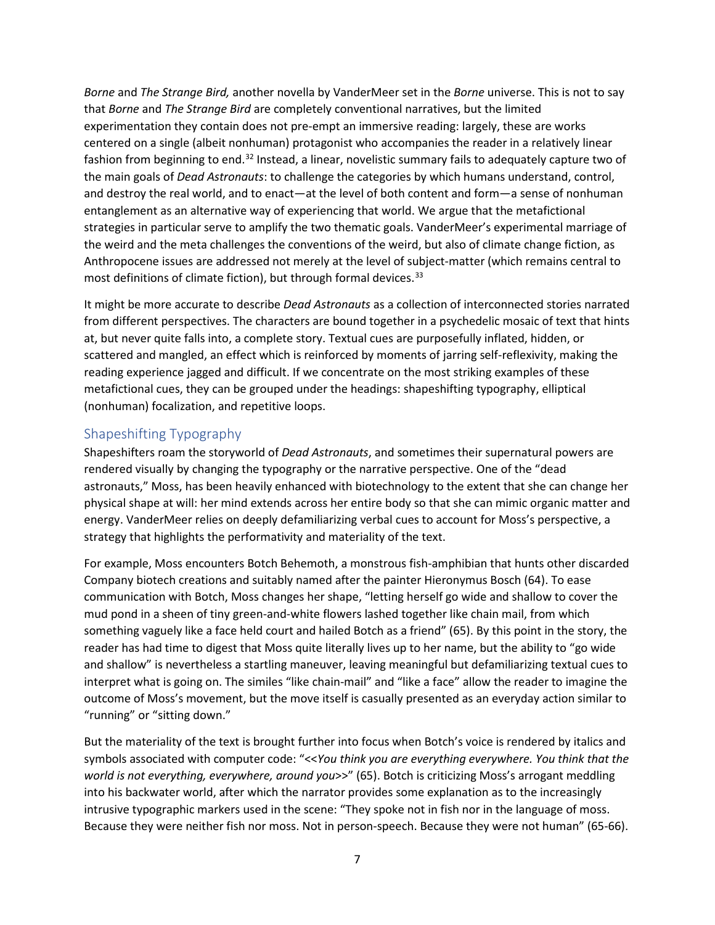*Borne* and *The Strange Bird,* another novella by VanderMeer set in the *Borne* universe. This is not to say that *Borne* and *The Strange Bird* are completely conventional narratives, but the limited experimentation they contain does not pre-empt an immersive reading: largely, these are works centered on a single (albeit nonhuman) protagonist who accompanies the reader in a relatively linear fashion from beginning to end.<sup>[32](#page-14-19)</sup> Instead, a linear, novelistic summary fails to adequately capture two of the main goals of *Dead Astronauts*: to challenge the categories by which humans understand, control, and destroy the real world, and to enact—at the level of both content and form—a sense of nonhuman entanglement as an alternative way of experiencing that world. We argue that the metafictional strategies in particular serve to amplify the two thematic goals. VanderMeer's experimental marriage of the weird and the meta challenges the conventions of the weird, but also of climate change fiction, as Anthropocene issues are addressed not merely at the level of subject-matter (which remains central to most definitions of climate fiction), but through formal devices.<sup>[33](#page-14-20)</sup>

It might be more accurate to describe *Dead Astronauts* as a collection of interconnected stories narrated from different perspectives. The characters are bound together in a psychedelic mosaic of text that hints at, but never quite falls into, a complete story. Textual cues are purposefully inflated, hidden, or scattered and mangled, an effect which is reinforced by moments of jarring self-reflexivity, making the reading experience jagged and difficult. If we concentrate on the most striking examples of these metafictional cues, they can be grouped under the headings: shapeshifting typography, elliptical (nonhuman) focalization, and repetitive loops.

# Shapeshifting Typography

Shapeshifters roam the storyworld of *Dead Astronauts*, and sometimes their supernatural powers are rendered visually by changing the typography or the narrative perspective. One of the "dead astronauts," Moss, has been heavily enhanced with biotechnology to the extent that she can change her physical shape at will: her mind extends across her entire body so that she can mimic organic matter and energy. VanderMeer relies on deeply defamiliarizing verbal cues to account for Moss's perspective, a strategy that highlights the performativity and materiality of the text.

For example, Moss encounters Botch Behemoth, a monstrous fish-amphibian that hunts other discarded Company biotech creations and suitably named after the painter Hieronymus Bosch (64). To ease communication with Botch, Moss changes her shape, "letting herself go wide and shallow to cover the mud pond in a sheen of tiny green-and-white flowers lashed together like chain mail, from which something vaguely like a face held court and hailed Botch as a friend" (65). By this point in the story, the reader has had time to digest that Moss quite literally lives up to her name, but the ability to "go wide and shallow" is nevertheless a startling maneuver, leaving meaningful but defamiliarizing textual cues to interpret what is going on. The similes "like chain-mail" and "like a face" allow the reader to imagine the outcome of Moss's movement, but the move itself is casually presented as an everyday action similar to "running" or "sitting down."

But the materiality of the text is brought further into focus when Botch's voice is rendered by italics and symbols associated with computer code: "<<*You think you are everything everywhere. You think that the world is not everything, everywhere, around you*>>" (65). Botch is criticizing Moss's arrogant meddling into his backwater world, after which the narrator provides some explanation as to the increasingly intrusive typographic markers used in the scene: "They spoke not in fish nor in the language of moss. Because they were neither fish nor moss. Not in person-speech. Because they were not human" (65-66).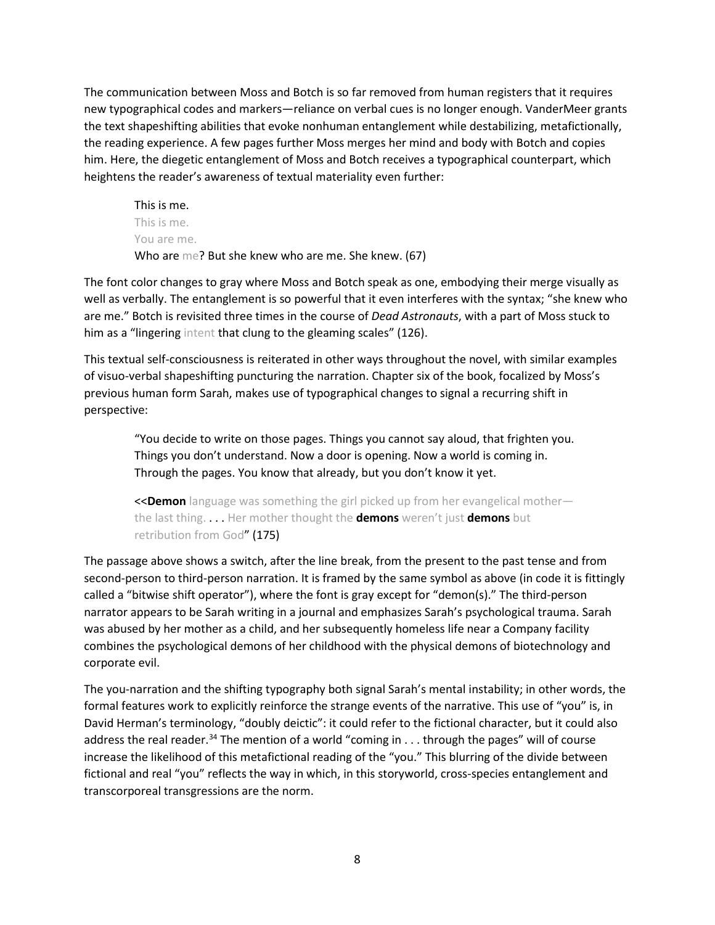The communication between Moss and Botch is so far removed from human registers that it requires new typographical codes and markers—reliance on verbal cues is no longer enough. VanderMeer grants the text shapeshifting abilities that evoke nonhuman entanglement while destabilizing, metafictionally, the reading experience. A few pages further Moss merges her mind and body with Botch and copies him. Here, the diegetic entanglement of Moss and Botch receives a typographical counterpart, which heightens the reader's awareness of textual materiality even further:

This is me. This is me. You are me. Who are me? But she knew who are me. She knew. (67)

The font color changes to gray where Moss and Botch speak as one, embodying their merge visually as well as verbally. The entanglement is so powerful that it even interferes with the syntax; "she knew who are me." Botch is revisited three times in the course of *Dead Astronauts*, with a part of Moss stuck to him as a "lingering intent that clung to the gleaming scales" (126).

This textual self-consciousness is reiterated in other ways throughout the novel, with similar examples of visuo-verbal shapeshifting puncturing the narration. Chapter six of the book, focalized by Moss's previous human form Sarah, makes use of typographical changes to signal a recurring shift in perspective:

"You decide to write on those pages. Things you cannot say aloud, that frighten you. Things you don't understand. Now a door is opening. Now a world is coming in. Through the pages. You know that already, but you don't know it yet.

<<**Demon** language was something the girl picked up from her evangelical mother the last thing. . . . Her mother thought the **demons** weren't just **demons** but retribution from God" (175)

The passage above shows a switch, after the line break, from the present to the past tense and from second-person to third-person narration. It is framed by the same symbol as above (in code it is fittingly called a "bitwise shift operator"), where the font is gray except for "demon(s)." The third-person narrator appears to be Sarah writing in a journal and emphasizes Sarah's psychological trauma. Sarah was abused by her mother as a child, and her subsequently homeless life near a Company facility combines the psychological demons of her childhood with the physical demons of biotechnology and corporate evil.

The you-narration and the shifting typography both signal Sarah's mental instability; in other words, the formal features work to explicitly reinforce the strange events of the narrative. This use of "you" is, in David Herman's terminology, "doubly deictic": it could refer to the fictional character, but it could also address the real reader.<sup>[34](#page-14-21)</sup> The mention of a world "coming in . . . through the pages" will of course increase the likelihood of this metafictional reading of the "you." This blurring of the divide between fictional and real "you" reflects the way in which, in this storyworld, cross-species entanglement and transcorporeal transgressions are the norm.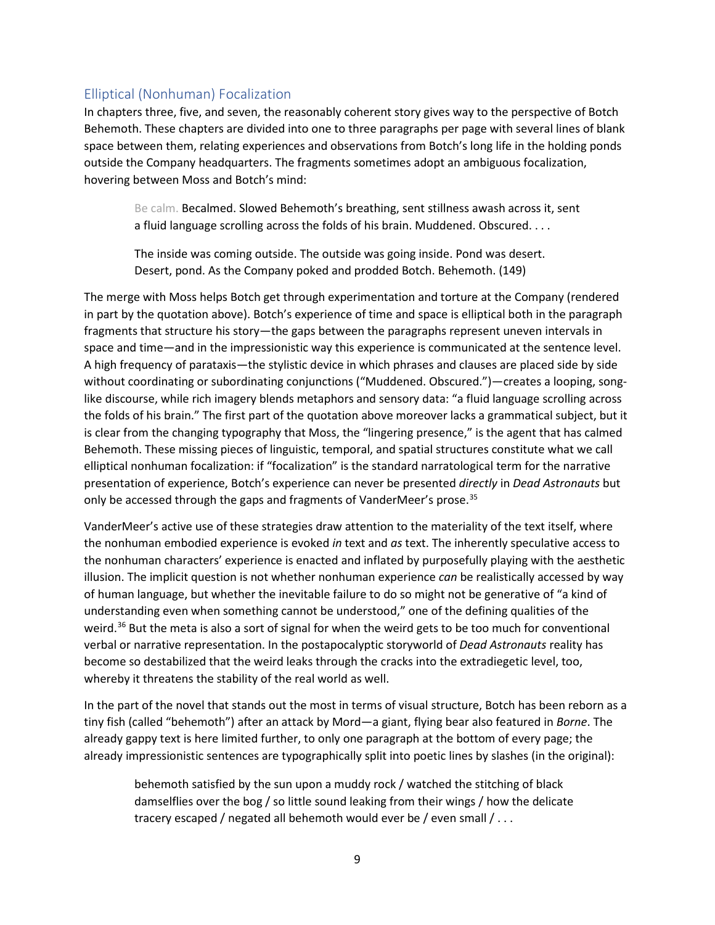## Elliptical (Nonhuman) Focalization

In chapters three, five, and seven, the reasonably coherent story gives way to the perspective of Botch Behemoth. These chapters are divided into one to three paragraphs per page with several lines of blank space between them, relating experiences and observations from Botch's long life in the holding ponds outside the Company headquarters. The fragments sometimes adopt an ambiguous focalization, hovering between Moss and Botch's mind:

Be calm. Becalmed. Slowed Behemoth's breathing, sent stillness awash across it, sent a fluid language scrolling across the folds of his brain. Muddened. Obscured. . . .

The inside was coming outside. The outside was going inside. Pond was desert. Desert, pond. As the Company poked and prodded Botch. Behemoth. (149)

The merge with Moss helps Botch get through experimentation and torture at the Company (rendered in part by the quotation above). Botch's experience of time and space is elliptical both in the paragraph fragments that structure his story—the gaps between the paragraphs represent uneven intervals in space and time—and in the impressionistic way this experience is communicated at the sentence level. A high frequency of parataxis—the stylistic device in which phrases and clauses are placed side by side without coordinating or subordinating conjunctions ("Muddened. Obscured.")—creates a looping, songlike discourse, while rich imagery blends metaphors and sensory data: "a fluid language scrolling across the folds of his brain." The first part of the quotation above moreover lacks a grammatical subject, but it is clear from the changing typography that Moss, the "lingering presence," is the agent that has calmed Behemoth. These missing pieces of linguistic, temporal, and spatial structures constitute what we call elliptical nonhuman focalization: if "focalization" is the standard narratological term for the narrative presentation of experience, Botch's experience can never be presented *directly* in *Dead Astronauts* but only be accessed through the gaps and fragments of VanderMeer's prose.<sup>[35](#page-14-22)</sup>

VanderMeer's active use of these strategies draw attention to the materiality of the text itself, where the nonhuman embodied experience is evoked *in* text and *as* text. The inherently speculative access to the nonhuman characters' experience is enacted and inflated by purposefully playing with the aesthetic illusion. The implicit question is not whether nonhuman experience *can* be realistically accessed by way of human language, but whether the inevitable failure to do so might not be generative of "a kind of understanding even when something cannot be understood," one of the defining qualities of the weird.<sup>[36](#page-14-23)</sup> But the meta is also a sort of signal for when the weird gets to be too much for conventional verbal or narrative representation. In the postapocalyptic storyworld of *Dead Astronauts* reality has become so destabilized that the weird leaks through the cracks into the extradiegetic level, too, whereby it threatens the stability of the real world as well.

In the part of the novel that stands out the most in terms of visual structure, Botch has been reborn as a tiny fish (called "behemoth") after an attack by Mord—a giant, flying bear also featured in *Borne*. The already gappy text is here limited further, to only one paragraph at the bottom of every page; the already impressionistic sentences are typographically split into poetic lines by slashes (in the original):

behemoth satisfied by the sun upon a muddy rock / watched the stitching of black damselflies over the bog / so little sound leaking from their wings / how the delicate tracery escaped / negated all behemoth would ever be / even small / . . .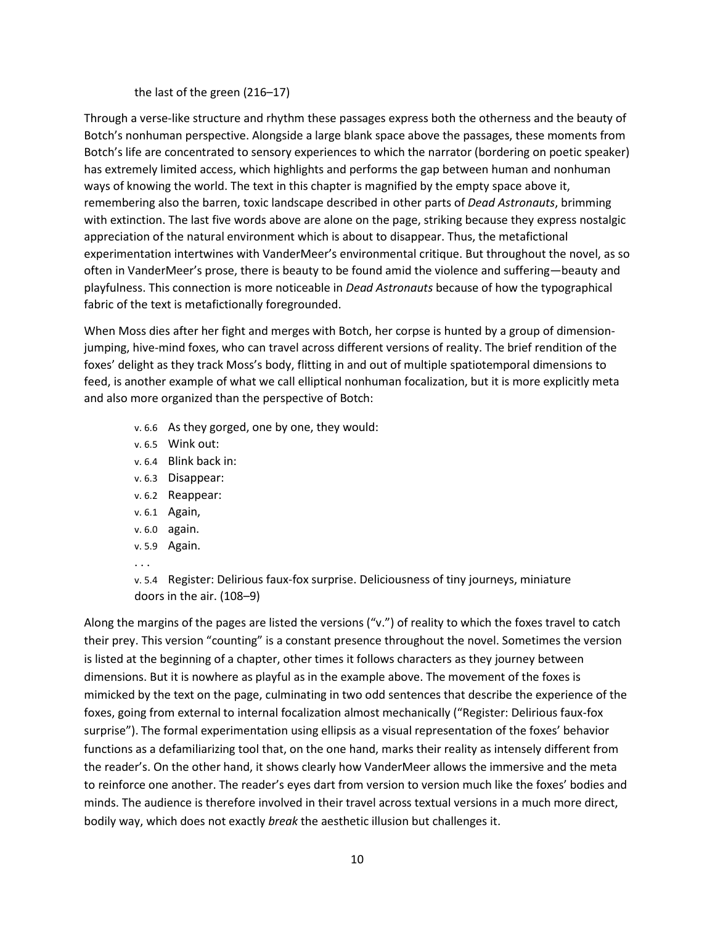#### the last of the green (216–17)

Through a verse-like structure and rhythm these passages express both the otherness and the beauty of Botch's nonhuman perspective. Alongside a large blank space above the passages, these moments from Botch's life are concentrated to sensory experiences to which the narrator (bordering on poetic speaker) has extremely limited access, which highlights and performs the gap between human and nonhuman ways of knowing the world. The text in this chapter is magnified by the empty space above it, remembering also the barren, toxic landscape described in other parts of *Dead Astronauts*, brimming with extinction. The last five words above are alone on the page, striking because they express nostalgic appreciation of the natural environment which is about to disappear. Thus, the metafictional experimentation intertwines with VanderMeer's environmental critique. But throughout the novel, as so often in VanderMeer's prose, there is beauty to be found amid the violence and suffering—beauty and playfulness. This connection is more noticeable in *Dead Astronauts* because of how the typographical fabric of the text is metafictionally foregrounded.

When Moss dies after her fight and merges with Botch, her corpse is hunted by a group of dimensionjumping, hive-mind foxes, who can travel across different versions of reality. The brief rendition of the foxes' delight as they track Moss's body, flitting in and out of multiple spatiotemporal dimensions to feed, is another example of what we call elliptical nonhuman focalization, but it is more explicitly meta and also more organized than the perspective of Botch:

- v. 6.6 As they gorged, one by one, they would:
- v. 6.5 Wink out:
- v. 6.4 Blink back in:
- v. 6.3 Disappear:
- v. 6.2 Reappear:
- v. 6.1 Again,
- v. 6.0 again.
- v. 5.9 Again.
- . . .

v. 5.4 Register: Delirious faux-fox surprise. Deliciousness of tiny journeys, miniature doors in the air. (108–9)

Along the margins of the pages are listed the versions ("v.") of reality to which the foxes travel to catch their prey. This version "counting" is a constant presence throughout the novel. Sometimes the version is listed at the beginning of a chapter, other times it follows characters as they journey between dimensions. But it is nowhere as playful as in the example above. The movement of the foxes is mimicked by the text on the page, culminating in two odd sentences that describe the experience of the foxes, going from external to internal focalization almost mechanically ("Register: Delirious faux-fox surprise"). The formal experimentation using ellipsis as a visual representation of the foxes' behavior functions as a defamiliarizing tool that, on the one hand, marks their reality as intensely different from the reader's. On the other hand, it shows clearly how VanderMeer allows the immersive and the meta to reinforce one another. The reader's eyes dart from version to version much like the foxes' bodies and minds. The audience is therefore involved in their travel across textual versions in a much more direct, bodily way, which does not exactly *break* the aesthetic illusion but challenges it.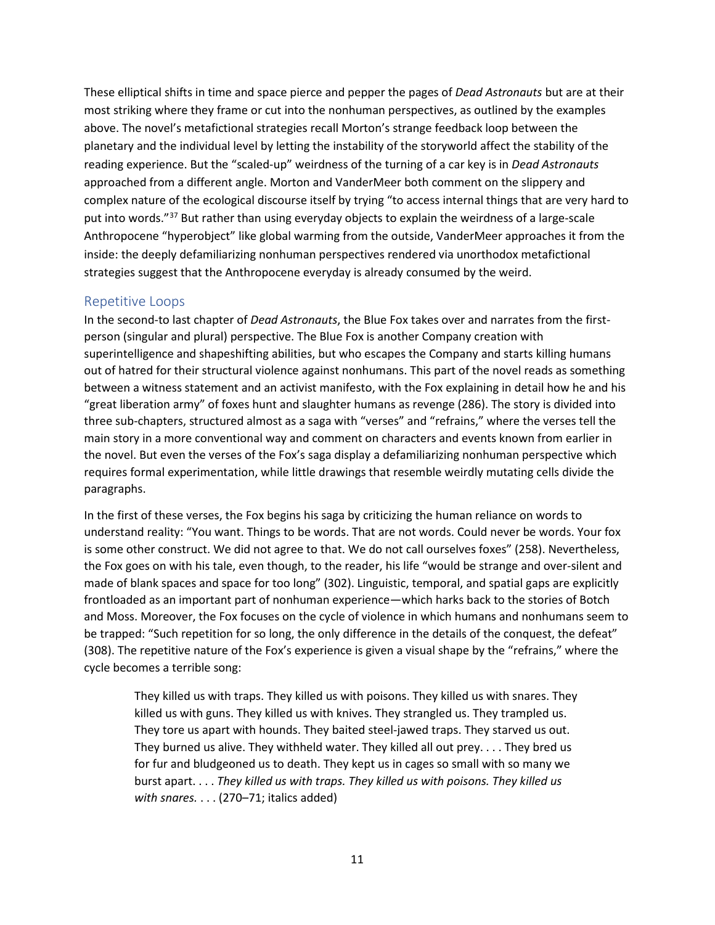These elliptical shifts in time and space pierce and pepper the pages of *Dead Astronauts* but are at their most striking where they frame or cut into the nonhuman perspectives, as outlined by the examples above. The novel's metafictional strategies recall Morton's strange feedback loop between the planetary and the individual level by letting the instability of the storyworld affect the stability of the reading experience. But the "scaled-up" weirdness of the turning of a car key is in *Dead Astronauts*  approached from a different angle. Morton and VanderMeer both comment on the slippery and complex nature of the ecological discourse itself by trying "to access internal things that are very hard to put into words."<sup>[37](#page-15-0)</sup> But rather than using everyday objects to explain the weirdness of a large-scale Anthropocene "hyperobject" like global warming from the outside, VanderMeer approaches it from the inside: the deeply defamiliarizing nonhuman perspectives rendered via unorthodox metafictional strategies suggest that the Anthropocene everyday is already consumed by the weird.

#### Repetitive Loops

In the second-to last chapter of *Dead Astronauts*, the Blue Fox takes over and narrates from the firstperson (singular and plural) perspective. The Blue Fox is another Company creation with superintelligence and shapeshifting abilities, but who escapes the Company and starts killing humans out of hatred for their structural violence against nonhumans. This part of the novel reads as something between a witness statement and an activist manifesto, with the Fox explaining in detail how he and his "great liberation army" of foxes hunt and slaughter humans as revenge (286). The story is divided into three sub-chapters, structured almost as a saga with "verses" and "refrains," where the verses tell the main story in a more conventional way and comment on characters and events known from earlier in the novel. But even the verses of the Fox's saga display a defamiliarizing nonhuman perspective which requires formal experimentation, while little drawings that resemble weirdly mutating cells divide the paragraphs.

In the first of these verses, the Fox begins his saga by criticizing the human reliance on words to understand reality: "You want. Things to be words. That are not words. Could never be words. Your fox is some other construct. We did not agree to that. We do not call ourselves foxes" (258). Nevertheless, the Fox goes on with his tale, even though, to the reader, his life "would be strange and over-silent and made of blank spaces and space for too long" (302). Linguistic, temporal, and spatial gaps are explicitly frontloaded as an important part of nonhuman experience—which harks back to the stories of Botch and Moss. Moreover, the Fox focuses on the cycle of violence in which humans and nonhumans seem to be trapped: "Such repetition for so long, the only difference in the details of the conquest, the defeat" (308). The repetitive nature of the Fox's experience is given a visual shape by the "refrains," where the cycle becomes a terrible song:

They killed us with traps. They killed us with poisons. They killed us with snares. They killed us with guns. They killed us with knives. They strangled us. They trampled us. They tore us apart with hounds. They baited steel-jawed traps. They starved us out. They burned us alive. They withheld water. They killed all out prey. . . . They bred us for fur and bludgeoned us to death. They kept us in cages so small with so many we burst apart. . . . *They killed us with traps. They killed us with poisons. They killed us with snares.* . . . (270–71; italics added)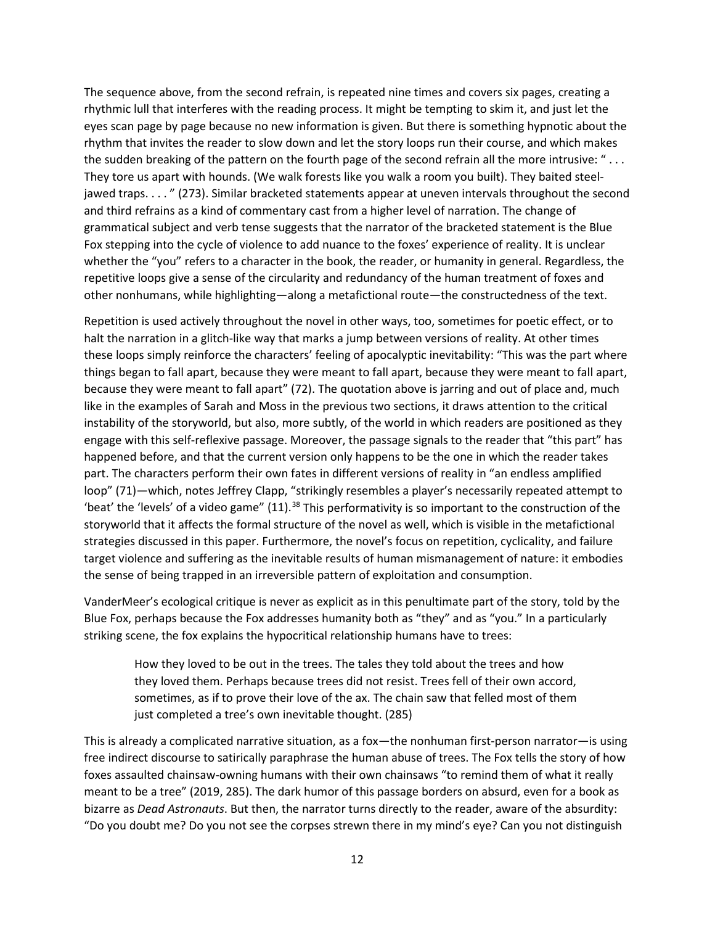The sequence above, from the second refrain, is repeated nine times and covers six pages, creating a rhythmic lull that interferes with the reading process. It might be tempting to skim it, and just let the eyes scan page by page because no new information is given. But there is something hypnotic about the rhythm that invites the reader to slow down and let the story loops run their course, and which makes the sudden breaking of the pattern on the fourth page of the second refrain all the more intrusive: " . . . They tore us apart with hounds. (We walk forests like you walk a room you built). They baited steeljawed traps. . . . " (273). Similar bracketed statements appear at uneven intervals throughout the second and third refrains as a kind of commentary cast from a higher level of narration. The change of grammatical subject and verb tense suggests that the narrator of the bracketed statement is the Blue Fox stepping into the cycle of violence to add nuance to the foxes' experience of reality. It is unclear whether the "you" refers to a character in the book, the reader, or humanity in general. Regardless, the repetitive loops give a sense of the circularity and redundancy of the human treatment of foxes and other nonhumans, while highlighting—along a metafictional route—the constructedness of the text.

Repetition is used actively throughout the novel in other ways, too, sometimes for poetic effect, or to halt the narration in a glitch-like way that marks a jump between versions of reality. At other times these loops simply reinforce the characters' feeling of apocalyptic inevitability: "This was the part where things began to fall apart, because they were meant to fall apart, because they were meant to fall apart, because they were meant to fall apart" (72). The quotation above is jarring and out of place and, much like in the examples of Sarah and Moss in the previous two sections, it draws attention to the critical instability of the storyworld, but also, more subtly, of the world in which readers are positioned as they engage with this self-reflexive passage. Moreover, the passage signals to the reader that "this part" has happened before, and that the current version only happens to be the one in which the reader takes part. The characters perform their own fates in different versions of reality in "an endless amplified loop" (71)—which, notes Jeffrey Clapp, "strikingly resembles a player's necessarily repeated attempt to 'beat' the 'levels' of a video game" (11).<sup>[38](#page-15-1)</sup> This performativity is so important to the construction of the storyworld that it affects the formal structure of the novel as well, which is visible in the metafictional strategies discussed in this paper. Furthermore, the novel's focus on repetition, cyclicality, and failure target violence and suffering as the inevitable results of human mismanagement of nature: it embodies the sense of being trapped in an irreversible pattern of exploitation and consumption.

VanderMeer's ecological critique is never as explicit as in this penultimate part of the story, told by the Blue Fox, perhaps because the Fox addresses humanity both as "they" and as "you." In a particularly striking scene, the fox explains the hypocritical relationship humans have to trees:

How they loved to be out in the trees. The tales they told about the trees and how they loved them. Perhaps because trees did not resist. Trees fell of their own accord, sometimes, as if to prove their love of the ax. The chain saw that felled most of them just completed a tree's own inevitable thought. (285)

This is already a complicated narrative situation, as a fox—the nonhuman first-person narrator—is using free indirect discourse to satirically paraphrase the human abuse of trees. The Fox tells the story of how foxes assaulted chainsaw-owning humans with their own chainsaws "to remind them of what it really meant to be a tree" (2019, 285). The dark humor of this passage borders on absurd, even for a book as bizarre as *Dead Astronauts*. But then, the narrator turns directly to the reader, aware of the absurdity: "Do you doubt me? Do you not see the corpses strewn there in my mind's eye? Can you not distinguish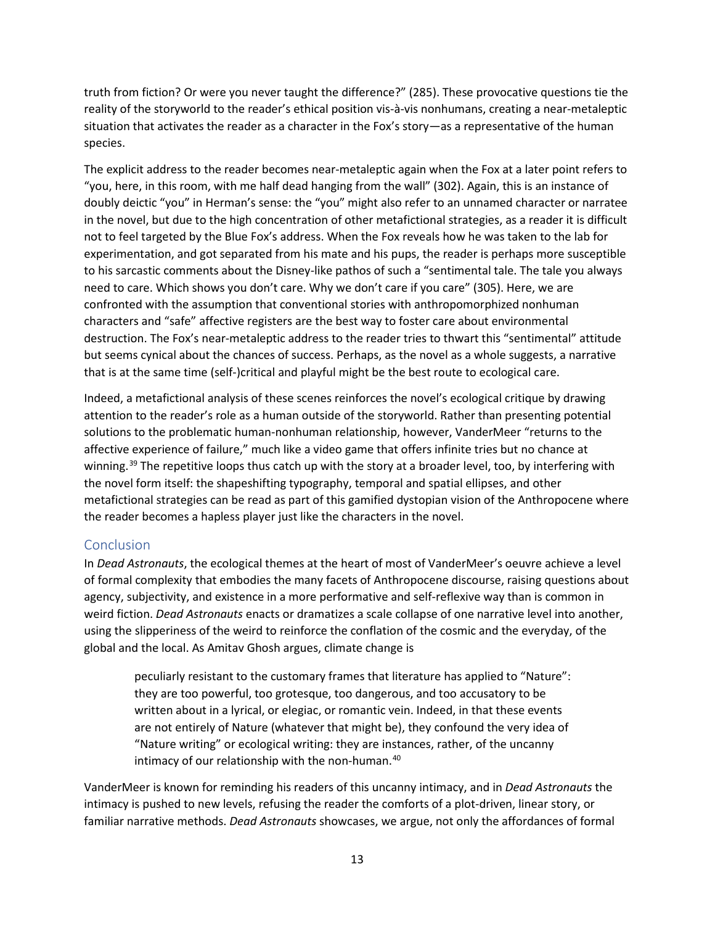truth from fiction? Or were you never taught the difference?" (285). These provocative questions tie the reality of the storyworld to the reader's ethical position vis-à-vis nonhumans, creating a near-metaleptic situation that activates the reader as a character in the Fox's story—as a representative of the human species.

The explicit address to the reader becomes near-metaleptic again when the Fox at a later point refers to "you, here, in this room, with me half dead hanging from the wall" (302). Again, this is an instance of doubly deictic "you" in Herman's sense: the "you" might also refer to an unnamed character or narratee in the novel, but due to the high concentration of other metafictional strategies, as a reader it is difficult not to feel targeted by the Blue Fox's address. When the Fox reveals how he was taken to the lab for experimentation, and got separated from his mate and his pups, the reader is perhaps more susceptible to his sarcastic comments about the Disney-like pathos of such a "sentimental tale. The tale you always need to care. Which shows you don't care. Why we don't care if you care" (305). Here, we are confronted with the assumption that conventional stories with anthropomorphized nonhuman characters and "safe" affective registers are the best way to foster care about environmental destruction. The Fox's near-metaleptic address to the reader tries to thwart this "sentimental" attitude but seems cynical about the chances of success. Perhaps, as the novel as a whole suggests, a narrative that is at the same time (self-)critical and playful might be the best route to ecological care.

Indeed, a metafictional analysis of these scenes reinforces the novel's ecological critique by drawing attention to the reader's role as a human outside of the storyworld. Rather than presenting potential solutions to the problematic human-nonhuman relationship, however, VanderMeer "returns to the affective experience of failure," much like a video game that offers infinite tries but no chance at winning.<sup>[39](#page-15-2)</sup> The repetitive loops thus catch up with the story at a broader level, too, by interfering with the novel form itself: the shapeshifting typography, temporal and spatial ellipses, and other metafictional strategies can be read as part of this gamified dystopian vision of the Anthropocene where the reader becomes a hapless player just like the characters in the novel.

## **Conclusion**

In *Dead Astronauts*, the ecological themes at the heart of most of VanderMeer's oeuvre achieve a level of formal complexity that embodies the many facets of Anthropocene discourse, raising questions about agency, subjectivity, and existence in a more performative and self-reflexive way than is common in weird fiction. *Dead Astronauts* enacts or dramatizes a scale collapse of one narrative level into another, using the slipperiness of the weird to reinforce the conflation of the cosmic and the everyday, of the global and the local. As Amitav Ghosh argues, climate change is

peculiarly resistant to the customary frames that literature has applied to "Nature": they are too powerful, too grotesque, too dangerous, and too accusatory to be written about in a lyrical, or elegiac, or romantic vein. Indeed, in that these events are not entirely of Nature (whatever that might be), they confound the very idea of "Nature writing" or ecological writing: they are instances, rather, of the uncanny intimacy of our relationship with the non-human.<sup>[40](#page-15-3)</sup>

VanderMeer is known for reminding his readers of this uncanny intimacy, and in *Dead Astronauts* the intimacy is pushed to new levels, refusing the reader the comforts of a plot-driven, linear story, or familiar narrative methods. *Dead Astronauts* showcases, we argue, not only the affordances of formal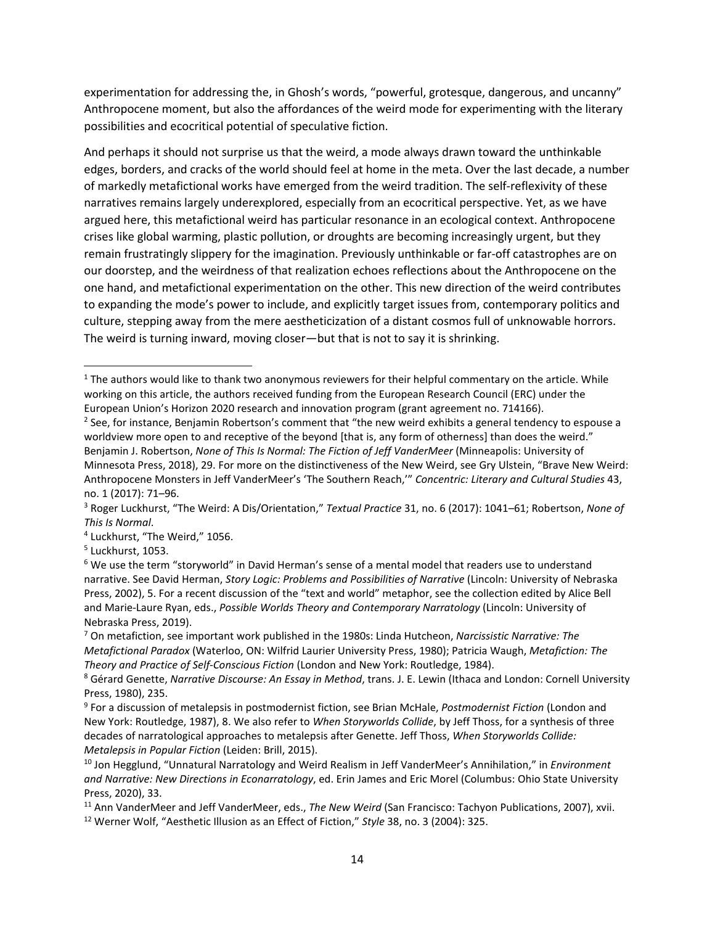experimentation for addressing the, in Ghosh's words, "powerful, grotesque, dangerous, and uncanny" Anthropocene moment, but also the affordances of the weird mode for experimenting with the literary possibilities and ecocritical potential of speculative fiction.

And perhaps it should not surprise us that the weird, a mode always drawn toward the unthinkable edges, borders, and cracks of the world should feel at home in the meta. Over the last decade, a number of markedly metafictional works have emerged from the weird tradition. The self-reflexivity of these narratives remains largely underexplored, especially from an ecocritical perspective. Yet, as we have argued here, this metafictional weird has particular resonance in an ecological context. Anthropocene crises like global warming, plastic pollution, or droughts are becoming increasingly urgent, but they remain frustratingly slippery for the imagination. Previously unthinkable or far-off catastrophes are on our doorstep, and the weirdness of that realization echoes reflections about the Anthropocene on the one hand, and metafictional experimentation on the other. This new direction of the weird contributes to expanding the mode's power to include, and explicitly target issues from, contemporary politics and culture, stepping away from the mere aestheticization of a distant cosmos full of unknowable horrors. The weird is turning inward, moving closer—but that is not to say it is shrinking.

<span id="page-13-0"></span> $1$  The authors would like to thank two anonymous reviewers for their helpful commentary on the article. While working on this article, the authors received funding from the European Research Council (ERC) under the European Union's Horizon 2020 research and innovation program (grant agreement no. 714166).

<span id="page-13-1"></span><sup>&</sup>lt;sup>2</sup> See, for instance, Benjamin Robertson's comment that "the new weird exhibits a general tendency to espouse a worldview more open to and receptive of the beyond [that is, any form of otherness] than does the weird." Benjamin J. Robertson, *None of This Is Normal: The Fiction of Jeff VanderMeer* (Minneapolis: University of Minnesota Press, 2018), 29. For more on the distinctiveness of the New Weird, see Gry Ulstein, "Brave New Weird: Anthropocene Monsters in Jeff VanderMeer's 'The Southern Reach,'" *Concentric: Literary and Cultural Studies* 43, no. 1 (2017): 71–96.

<span id="page-13-2"></span><sup>3</sup> Roger Luckhurst, "The Weird: A Dis/Orientation," *Textual Practice* 31, no. 6 (2017): 1041–61; Robertson, *None of This Is Normal*.

<span id="page-13-3"></span><sup>4</sup> Luckhurst, "The Weird," 1056.

<span id="page-13-4"></span><sup>5</sup> Luckhurst, 1053.

<span id="page-13-5"></span><sup>6</sup> We use the term "storyworld" in David Herman's sense of a mental model that readers use to understand narrative. See David Herman, *Story Logic: Problems and Possibilities of Narrative* (Lincoln: University of Nebraska Press, 2002), 5. For a recent discussion of the "text and world" metaphor, see the collection edited by Alice Bell and Marie-Laure Ryan, eds., *Possible Worlds Theory and Contemporary Narratology* (Lincoln: University of Nebraska Press, 2019).

<span id="page-13-6"></span><sup>7</sup> On metafiction, see important work published in the 1980s: Linda Hutcheon, *Narcissistic Narrative: The Metafictional Paradox* (Waterloo, ON: Wilfrid Laurier University Press, 1980); Patricia Waugh, *Metafiction: The Theory and Practice of Self-Conscious Fiction* (London and New York: Routledge, 1984).

<span id="page-13-7"></span><sup>8</sup> Gérard Genette, *Narrative Discourse: An Essay in Method*, trans. J. E. Lewin (Ithaca and London: Cornell University Press, 1980), 235.

<span id="page-13-8"></span><sup>9</sup> For a discussion of metalepsis in postmodernist fiction, see Brian McHale, *Postmodernist Fiction* (London and New York: Routledge, 1987), 8. We also refer to *When Storyworlds Collide*, by Jeff Thoss, for a synthesis of three decades of narratological approaches to metalepsis after Genette. Jeff Thoss, *When Storyworlds Collide: Metalepsis in Popular Fiction* (Leiden: Brill, 2015).

<span id="page-13-9"></span><sup>10</sup> Jon Hegglund, "Unnatural Narratology and Weird Realism in Jeff VanderMeer's Annihilation," in *Environment and Narrative: New Directions in Econarratology*, ed. Erin James and Eric Morel (Columbus: Ohio State University Press, 2020), 33.

<span id="page-13-11"></span><span id="page-13-10"></span><sup>11</sup> Ann VanderMeer and Jeff VanderMeer, eds., *The New Weird* (San Francisco: Tachyon Publications, 2007), xvii. <sup>12</sup> Werner Wolf, "Aesthetic Illusion as an Effect of Fiction," *Style* 38, no. 3 (2004): 325.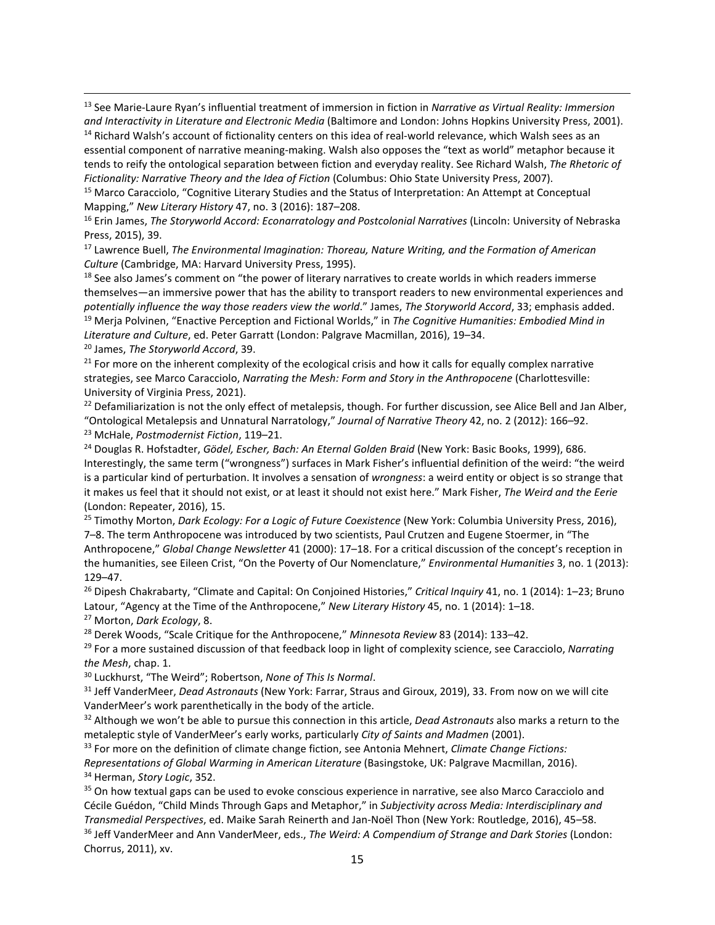<span id="page-14-0"></span><sup>13</sup> See Marie-Laure Ryan's influential treatment of immersion in fiction in *Narrative as Virtual Reality: Immersion and Interactivity in Literature and Electronic Media* (Baltimore and London: Johns Hopkins University Press, 2001). <sup>14</sup> Richard Walsh's account of fictionality centers on this idea of real-world relevance, which Walsh sees as an

<span id="page-14-1"></span>essential component of narrative meaning-making. Walsh also opposes the "text as world" metaphor because it tends to reify the ontological separation between fiction and everyday reality. See Richard Walsh, *The Rhetoric of Fictionality: Narrative Theory and the Idea of Fiction* (Columbus: Ohio State University Press, 2007).

<span id="page-14-2"></span><sup>15</sup> Marco Caracciolo, "Cognitive Literary Studies and the Status of Interpretation: An Attempt at Conceptual Mapping," *New Literary History* 47, no. 3 (2016): 187–208.

<span id="page-14-3"></span><sup>16</sup> Erin James, *The Storyworld Accord: Econarratology and Postcolonial Narratives* (Lincoln: University of Nebraska Press, 2015), 39.

<span id="page-14-4"></span><sup>17</sup> Lawrence Buell, *The Environmental Imagination: Thoreau, Nature Writing, and the Formation of American Culture* (Cambridge, MA: Harvard University Press, 1995).

<span id="page-14-5"></span><sup>18</sup> See also James's comment on "the power of literary narratives to create worlds in which readers immerse themselves—an immersive power that has the ability to transport readers to new environmental experiences and *potentially influence the way those readers view the world*." James, *The Storyworld Accord*, 33; emphasis added. <sup>19</sup> Merja Polvinen, "Enactive Perception and Fictional Worlds," in *The Cognitive Humanities: Embodied Mind in Literature and Culture*, ed. Peter Garratt (London: Palgrave Macmillan, 2016), 19–34.

<span id="page-14-7"></span><span id="page-14-6"></span><sup>20</sup> James, *The Storyworld Accord*, 39.

<span id="page-14-8"></span> $21$  For more on the inherent complexity of the ecological crisis and how it calls for equally complex narrative strategies, see Marco Caracciolo, *Narrating the Mesh: Form and Story in the Anthropocene* (Charlottesville: University of Virginia Press, 2021).

<span id="page-14-9"></span> $22$  Defamiliarization is not the only effect of metalepsis, though. For further discussion, see Alice Bell and Jan Alber, "Ontological Metalepsis and Unnatural Narratology," *Journal of Narrative Theory* 42, no. 2 (2012): 166–92. <sup>23</sup> McHale, *Postmodernist Fiction*, 119–21.

<span id="page-14-11"></span><span id="page-14-10"></span><sup>24</sup> Douglas R. Hofstadter, *Gödel, Escher, Bach: An Eternal Golden Braid* (New York: Basic Books, 1999), 686. Interestingly, the same term ("wrongness") surfaces in Mark Fisher's influential definition of the weird: "the weird is a particular kind of perturbation. It involves a sensation of *wrongness*: a weird entity or object is so strange that it makes us feel that it should not exist, or at least it should not exist here." Mark Fisher, *The Weird and the Eerie* (London: Repeater, 2016), 15.

<span id="page-14-12"></span><sup>25</sup> Timothy Morton, *Dark Ecology: For a Logic of Future Coexistence* (New York: Columbia University Press, 2016), 7–8. The term Anthropocene was introduced by two scientists, Paul Crutzen and Eugene Stoermer, in "The Anthropocene," *Global Change Newsletter* 41 (2000): 17–18. For a critical discussion of the concept's reception in the humanities, see Eileen Crist, "On the Poverty of Our Nomenclature," *Environmental Humanities* 3, no. 1 (2013): 129–47.

<span id="page-14-13"></span><sup>26</sup> Dipesh Chakrabarty, "Climate and Capital: On Conjoined Histories," *Critical Inquiry* 41, no. 1 (2014): 1–23; Bruno Latour, "Agency at the Time of the Anthropocene," *New Literary History* 45, no. 1 (2014): 1–18.

<span id="page-14-14"></span><sup>27</sup> Morton, *Dark Ecology*, 8.

<span id="page-14-15"></span><sup>28</sup> Derek Woods, "Scale Critique for the Anthropocene," *Minnesota Review* 83 (2014): 133–42.

<span id="page-14-16"></span><sup>29</sup> For a more sustained discussion of that feedback loop in light of complexity science, see Caracciolo, *Narrating the Mesh*, chap. 1.

<span id="page-14-17"></span><sup>30</sup> Luckhurst, "The Weird"; Robertson, *None of This Is Normal*.

<span id="page-14-18"></span><sup>31</sup> Jeff VanderMeer, *Dead Astronauts* (New York: Farrar, Straus and Giroux, 2019), 33. From now on we will cite VanderMeer's work parenthetically in the body of the article.

<span id="page-14-19"></span><sup>32</sup> Although we won't be able to pursue this connection in this article, *Dead Astronauts* also marks a return to the metaleptic style of VanderMeer's early works, particularly *City of Saints and Madmen* (2001).

<span id="page-14-20"></span><sup>33</sup> For more on the definition of climate change fiction, see Antonia Mehnert, *Climate Change Fictions: Representations of Global Warming in American Literature* (Basingstoke, UK: Palgrave Macmillan, 2016). <sup>34</sup> Herman, *Story Logic*, 352.

<span id="page-14-22"></span><span id="page-14-21"></span><sup>35</sup> On how textual gaps can be used to evoke conscious experience in narrative, see also Marco Caracciolo and Cécile Guédon, "Child Minds Through Gaps and Metaphor," in *Subjectivity across Media: Interdisciplinary and Transmedial Perspectives*, ed. Maike Sarah Reinerth and Jan-Noël Thon (New York: Routledge, 2016), 45–58.

<span id="page-14-23"></span><sup>36</sup> Jeff VanderMeer and Ann VanderMeer, eds., *The Weird: A Compendium of Strange and Dark Stories* (London: Chorrus, 2011), xv.